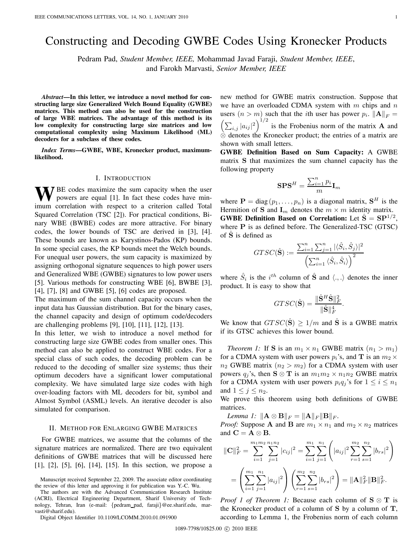# Constructing and Decoding GWBE Codes Using Kronecker Products

Pedram Pad, *Student Member, IEEE,* Mohammad Javad Faraji, *Student Member, IEEE*, and Farokh Marvasti, *Senior Member, IEEE*

*Abstract***—In this letter, we introduce a novel method for constructing large size Generalized Welch Bound Equality (GWBE) matrices. This method can also be used for the construction of large WBE matrices. The advantage of this method is its low complexity for constructing large size matrices and low computational complexity using Maximum Likelihood (ML) decoders for a subclass of these codes.**

*Index Terms***—GWBE, WBE, Kronecker product, maximumlikelihood.**

## I. INTRODUCTION

**W**BE codes maximize the sum capacity when the user powers are equal [1]. In fact these codes have minimum correlation with respect to a criterion called Total Squared Correlation (TSC [2]). For practical conditions, Binary WBE (BWBE) codes are more attractive. For binary codes, the lower bounds of TSC are derived in [3], [4]. These bounds are known as Karystinos-Pados (KP) bounds. In some special cases, the KP bounds meet the Welch bounds. For unequal user powers, the sum capacity is maximized by assigning orthogonal signature sequences to high power users and Generalized WBE (GWBE) signatures to low power users [5]. Various methods for constructing WBE [6], BWBE [3], [4], [7], [8] and GWBE [5], [6] codes are proposed.

The maximum of the sum channel capacity occurs when the input data has Gaussian distribution. But for the binary cases, the channel capacity and design of optimum code/decoders are challenging problems [9], [10], [11], [12], [13].

In this letter, we wish to introduce a novel method for constructing large size GWBE codes from smaller ones. This method can also be applied to construct WBE codes. For a special class of such codes, the decoding problem can be reduced to the decoding of smaller size systems; thus their optimum decoders have a significant lower computational complexity. We have simulated large size codes with high over-loading factors with ML decoders for bit, symbol and Almost Symbol (ASML) levels. An iterative decoder is also simulated for comparison.

### II. METHOD FOR ENLARGING GWBE MATRICES

For GWBE matrices, we assume that the columns of the signature matrices are normalized. There are two equivalent definitions of GWBE matrices that will be discussed here [1], [2], [5], [6], [14], [15]. In this section, we propose a

Manuscript received September 22, 2009. The associate editor coordinating the review of this letter and approving it for publication was Y.-C. Wu.

The authors are with the Advanced Communication Research Institute (ACRI), Electrical Engineering Department, Sharif University of Technology, Tehran, Iran (e-mail: {pedram pad, faraji}@ee.sharif.edu, marvasti@sharif.edu).

Digital Object Identifier 10.1109/LCOMM.2010.01.091900

new method for GWBE matrix construction. Suppose that we have an overloaded CDMA system with  $m$  chips and  $n$ users  $(n > m)$  such that the *i*th user has power  $p_i$ .  $||A||_F =$  $\left(\sum_{i,j}|a_{ij}|^2\right)^{1/2}$  is the Frobenius norm of the matrix **A** and ⊗ denotes the Kronecker product; the entries of a matrix are shown with small letters.

**GWBE Definition Based on Sum Capacity:** A GWBE matrix **S** that maximizes the sum channel capacity has the following property

$$
\mathbf{SPS}^{H} = \frac{\sum_{i=1}^{n} p_{i}}{m} \mathbf{I}_{m}
$$

where  $P = diag(p_1, \ldots, p_n)$  is a diagonal matrix,  $S^H$  is the Hermition of **S** and  $\mathbf{I}_m$  denotes the  $m \times m$  identity matrix. **GWBE Definition Based on Correlation:** Let  $\hat{\mathbf{S}} = \mathbf{S} \mathbf{P}^{1/2}$ , where **P** is as defined before. The Generalized-TSC (GTSC) of **S**ˆ is defined as

$$
GTSC(\hat{\mathbf{S}}) := \frac{\sum_{i=1}^n\sum_{j=1}^n|\langle \hat{S}_i, \hat{S}_j\rangle|^2}{\left(\sum_{i=1}^n\langle \hat{S}_i, \hat{S}_i\rangle\right)^2}
$$

where  $\hat{S}_i$  is the  $i^{th}$  column of  $\hat{S}$  and  $\langle ., . \rangle$  denotes the inner product. It is easy to show that

$$
GTSC(\hat{\mathbf{S}}) = \frac{\|\hat{\mathbf{S}}^H\hat{\mathbf{S}}\|_F^2}{\|\hat{\mathbf{S}}\|_F^4}.
$$

We know that  $GTSC(\hat{S}) \ge 1/m$  and  $\hat{S}$  is a GWBE matrix if its GTSC achieves this lower bound.

*Theorem 1:* If **S** is an  $m_1 \times n_1$  GWBE matrix  $(n_1 > m_1)$ for a CDMA system with user powers  $p_i$ 's, and **T** is an  $m_2 \times$  $n_2$  GWBE matrix  $(n_2 > m_2)$  for a CDMA system with user powers  $q_i$ 's, then **S**  $\otimes$  **T** is an  $m_1 m_2 \times n_1 n_2$  GWBE matrix for a CDMA system with user powers  $p_i q_j$ 's for  $1 \le i \le n_1$ and  $1 \leq j \leq n_2$ .

We prove this theorem using both definitions of GWBE matrices.

*Lemma 1:*  $\|\mathbf{A} \otimes \mathbf{B}\|_F = \|\mathbf{A}\|_F \|\mathbf{B}\|_F$ .

*Proof:* Suppose **A** and **B** are  $m_1 \times n_1$  and  $m_2 \times n_2$  matrices and  $C = A \otimes B$ .

$$
\|\mathbf{C}\|_{F}^{2} = \sum_{i=1}^{m_{1}m_{2}} \sum_{j=1}^{n_{1}n_{2}} |c_{ij}|^{2} = \sum_{i=1}^{m_{1}} \sum_{j=1}^{n_{1}} \left( |a_{ij}|^{2} \sum_{r=1}^{m_{2}} \sum_{s=1}^{n_{2}} |b_{rs}|^{2} \right)
$$

$$
= \left( \sum_{i=1}^{m_{1}} \sum_{j=1}^{n_{1}} |a_{ij}|^{2} \right) \left( \sum_{r=1}^{m_{2}} \sum_{s=1}^{n_{2}} |b_{rs}|^{2} \right) = \|\mathbf{A}\|_{F}^{2} \|\mathbf{B}\|_{F}^{2}.
$$

*Proof 1 of Theorem 1:* Because each column of **S** ⊗ **T** is the Kronecker product of a column of **S** by a column of **T**, according to Lemma 1, the Frobenius norm of each column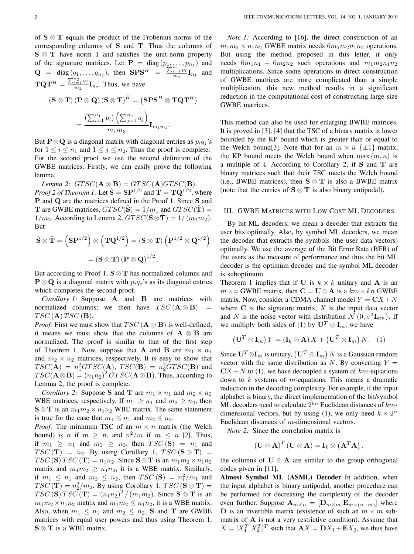of **S** ⊗ **T** equals the product of the Frobenius norms of the corresponding columns of **S** and **T**. Thus the columns of **S** ⊗ **T** have norm 1 and satisfies the unit-norm property of the signature matrices. Let  $\mathbf{P} = \text{diag}(p_1, \dots, p_{n_1})$  and **Q** = diag( $q_1, ..., q_{n_2}$ ), then **SPS**<sup>H</sup> =  $\frac{\sum_{i=1}^{n_1} p_i}{m_1}$ **I**<sub>n<sub>1</sub> and</sub>  $\mathbf{T}\mathbf{Q}\mathbf{T}^{H} = \frac{\sum_{j=1}^{n_2} q_j}{m_2} \mathbf{I}_{n_2}$ . Thus, we have

$$
(\mathbf{S} \otimes \mathbf{T}) (\mathbf{P} \otimes \mathbf{Q}) (\mathbf{S} \otimes \mathbf{T})^{H} = (\mathbf{S} \mathbf{P} \mathbf{S}^{H} \otimes \mathbf{T} \mathbf{Q} \mathbf{T}^{H})
$$

$$
= \frac{\left(\sum_{i=1}^{n_{1}} p_{i}\right)\left(\sum_{j=1}^{n_{2}} q_{j}\right)}{m_{1} m_{2}} \mathbf{I}_{m_{1} m_{2}}.
$$

But **P**⊗**Q** is a diagonal matrix with diagonal entries as  $p_i q_j$ 's for  $1 \leq i \leq n_1$  and  $1 \leq j \leq n_2$ . Thus the proof is complete. For the second proof we use the second definition of the GWBE matrices. Firstly, we can easily prove the following lemma.

*Lemma 2:*  $GTSC(\mathbf{A} \otimes \mathbf{B}) = GTSC(\mathbf{A})GTSC(\mathbf{B}).$ *Proof 2 of Theorem 1:* Let  $\hat{\mathbf{S}} = \mathbf{S} \mathbf{P}^{1/2}$  and  $\hat{\mathbf{T}} = \mathbf{T} \mathbf{Q}^{1/2}$ , where **P** and **Q** are the matrices defined in the Proof 1. Since **S** and **T** are GWBE matrices,  $GTSC(\hat{S}) = 1/m_1$  and  $GTSC(\hat{T}) =$  $1/m_2$ . According to Lemma 2,  $GTSC(\mathbf{S} \otimes \mathbf{T}) = 1/(m_1m_2)$ . But

$$
\hat{\mathbf{S}} \otimes \hat{\mathbf{T}} = (\mathbf{S} \mathbf{P}^{1/2}) \otimes (\mathbf{T} \mathbf{Q}^{1/2}) = (\mathbf{S} \otimes \mathbf{T}) (\mathbf{P}^{1/2} \otimes \mathbf{Q}^{1/2})
$$

$$
= (\mathbf{S} \otimes \mathbf{T}) (\mathbf{P} \otimes \mathbf{Q})^{1/2}.
$$

But according to Proof 1, **S** ⊗ **T** has normalized columns and **P**  $\otimes$  **Q** is a diagonal matrix with  $p_i q_i$ 's as its diagonal entries which completes the second proof.

*Corollary 1:* Suppose **A** and **B** are matrices with normalized columns; we then have  $TSC(\mathbf{A} \otimes \mathbf{B})$  =  $TSC(\mathbf{A}) TSC(\mathbf{B}).$ 

*Proof:* First we must show that  $TSC(\mathbf{A} \otimes \mathbf{B})$  is well-defined; it means we must show that the columns of  $A \otimes B$  are normalized. The proof is similar to that of the first step of Theorem 1. Now, suppose that **A** and **B** are  $m_1 \times n_1$ and  $m_2 \times n_2$  matrices, respectively. It is easy to show that  $TSC(\mathbf{A}) = n_1^2 G T SC(\mathbf{A}), TSC(\mathbf{B}) = n_2^2 G T SC(\mathbf{B})$  and  $TSC(\mathbf{A} \otimes \mathbf{B}) = (n_1 n_2)^2 G TSC(\mathbf{A} \otimes \mathbf{B})$ . Thus, according to Lemma 2, the proof is complete.

*Corollary 2:* Suppose **S** and **T** are  $m_1 \times n_1$  and  $m_2 \times n_2$ WBE matrices, respectively. If  $m_1 \geq n_1$  and  $m_2 \geq n_2$ , then  $\mathbf{S} \otimes \mathbf{T}$  is an  $m_1 m_2 \times n_1 n_2$  WBE matrix. The same statement is true for the case that  $m_1 \leq n_1$  and  $m_2 \leq n_2$ .

*Proof:* The minimum TSC of an  $m \times n$  matrix (the Welch bound) is *n* if  $m \ge n$ , and  $n^2/m$  if  $m \le n$  [2]. Thus, if  $m_1 \geq n_1$  and  $m_2 \geq n_2$ , then  $TSC(\mathbf{S}) = n_1$  and  $TSC(\mathbf{T}) = n_2$ . By using Corollary 1,  $TSC(\mathbf{S} \otimes \mathbf{T}) =$  $TSC(\mathbf{S}) TSC(\mathbf{T}) = n_1 n_2$ . Since  $\mathbf{S} \otimes \mathbf{T}$  is an  $m_1 m_2 \times n_1 n_2$ matrix and  $m_1 m_2 \geq n_1 n_2$ , it is a WBE matrix. Similarly, if  $m_1 \leq n_1$  and  $m_2 \leq n_2$ , then  $TSC(\mathbf{S}) = n_1^2/m_1$  and  $TSC(\mathbf{T}) = n_2^2/m_2$ . By using Corollary 1,  $TSC(\mathbf{S} \otimes \mathbf{T}) =$  $TSC(\mathbf{S}) TSC(\mathbf{T}) = (n_1 n_2)^2 / (m_1 m_2)$ . Since  $\mathbf{S} \otimes \mathbf{T}$  is an  $m_1 m_2 \times n_1 n_2$  matrix and  $m_1 m_2 \leq n_1 n_2$ , it is a WBE matrix. Also, when  $m_1 \leq n_1$  and  $m_2 \leq n_2$ , **S** and **T** are GWBE matrices with equal user powers and thus using Theorem 1, **S** ⊗ **T** is a WBE matrix.

*Note 1:* According to [16], the direct construction of an  $m_1 m_2 \times n_1 n_2$  GWBE matrix needs  $6m_1 m_2 n_1 n_2$  operations. But using the method proposed in this letter, it only needs  $6m_1n_1 + 6m_2n_2$  such operations and  $m_1m_2n_1n_2$ multiplications. Since some operations in direct construction of GWBE matrices are more complicated than a simple multiplication, this new method results in a significant reduction in the computational cost of constructing large size GWBE matrices.

This method can also be used for enlarging BWBE matrices. It is proved in [3], [4] that the TSC of a binary matrix is lower bounded by the KP bound which is greater than or equal to the Welch bound[3]. Note that for an  $m \times n \{\pm 1\}$ -matrix, the KP bound meets the Welch bound when  $\max(m, n)$  is a multiple of 4. According to Corollary 2, if **S** and **T** are binary matrices such that their TSC meets the Welch bound (i.e., BWBE matrices), then  $S \otimes T$  is also a BWBE matrix (note that the entries of  $S \otimes T$  is also binary antipodal).

## III. GWBE MATRICES WITH LOW COST ML DECODERS

By bit ML decoders, we mean a decoder that extracts the user bits optimally. Also, by symbol ML decoders, we mean the decoder that extracts the symbols (the user data vectors) optimally. We use the average of the Bit Error Rate (BER) of the users as the measure of performance and thus the bit ML decoder is the optimum decoder and the symbol ML decoder is suboptimum.

Theorem 1 implies that if **U** is  $k \times k$  unitary and **A** is an  $m \times n$  GWBE matrix, then  $C = U \otimes A$  is a  $km \times kn$  GWBE matrix. Now, consider a CDMA channel model  $Y = \mathbf{C}X + N$ where  $C$  is the signature matrix,  $X$  is the input data vector and N is the noise vector with distribution  $\mathcal{N}(0, \sigma^2 \mathbf{I}_{km})$ . If we multiply both sides of (1) by  $U^T \otimes I_m$ , we have

$$
\left(\mathbf{U}^T \otimes \mathbf{I}_m\right) Y = \left(\mathbf{I}_k \otimes \mathbf{A}\right) X + \left(\mathbf{U}^T \otimes \mathbf{I}_m\right) N. \quad (1)
$$

Since  $\mathbf{U}^T \otimes \mathbf{I}_m$  is unitary,  $(\mathbf{U}^T \otimes \mathbf{I}_m)$  N is a Gaussian random vector with the same distribution as N. By converting  $Y =$  $CX + N$  to (1), we have decoupled a system of  $km$ -equations down to  $k$  systems of  $m$ -equations. This means a dramatic reduction in the decoding complexity. For example, if the input alphabet is binary, the direct implementation of the bit/symbol ML decoders need to calculate  $2^{kn}$  Euclidean distances of  $km$ dimensional vectors, but by using (1), we only need  $k \times 2^n$ Euclidean distances of  $m$ -dimensional vectors.

*Note 2:* Since the correlation matrix is

$$
\left(\mathbf{U}\otimes\mathbf{A}\right)^{T}\left(\mathbf{U}\otimes\mathbf{A}\right)=\mathbf{I}_{k}\otimes\left(\mathbf{A}^{T}\mathbf{A}\right),
$$

the columns of  $U \otimes A$  are similar to the group orthogonal codes given in [11].

**Almost Symbol ML (ASML) Decoder** In addition, when the input alphabet is binary antipodal, another procedure can be performed for decreasing the complexity of the decoder even further. Suppose  $\mathbf{A}_{m \times n} = [\mathbf{D}_{m \times m} | \mathbf{E}_{m \times (n-m)}]$  where **D** is an invertible matrix (existence of such an  $m \times m$  submatrix of **A** is not a very restrictive condition). Assume that  $X = [X_1^T \ X_2^T]^T$  such that  $AX = DX_1 + EX_2$ , we thus have